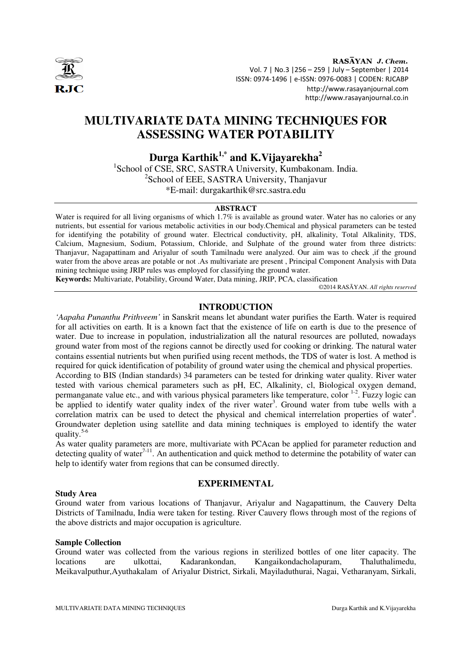

RASAYAN J. Chem. Vol. 7 | No.3 |256 – 259 | July – September | 2014 ISSN: 0974-1496 | e-ISSN: 0976-0083 | CODEN: RJCABP http://www.rasayanjournal.com http://www.rasayanjournal.co.in

# **MULTIVARIATE DATA MINING TECHNIQUES FOR ASSESSING WATER POTABILITY**

**Durga Karthik1,\* and K.Vijayarekha<sup>2</sup>**

1 School of CSE, SRC, SASTRA University, Kumbakonam. India. <sup>2</sup>School of EEE, SASTRA University, Thanjavur \*E-mail: durgakarthik@src.sastra.edu

## **ABSTRACT**

Water is required for all living organisms of which 1.7% is available as ground water. Water has no calories or any nutrients, but essential for various metabolic activities in our body.Chemical and physical parameters can be tested for identifying the potability of ground water. Electrical conductivity, pH, alkalinity, Total Alkalinity, TDS, Calcium, Magnesium, Sodium, Potassium, Chloride, and Sulphate of the ground water from three districts: Thanjavur, Nagapattinam and Ariyalur of south Tamilnadu were analyzed. Our aim was to check ,if the ground water from the above areas are potable or not .As multivariate are present , Principal Component Analysis with Data mining technique using JRIP rules was employed for classifying the ground water.

**Keywords:** Multivariate, Potability, Ground Water, Data mining, JRIP, PCA, classification

©2014 RASĀYAN. *All rights reserved*

## **INTRODUCTION**

*'Aapaha Punanthu Prithveem'* in Sanskrit means let abundant water purifies the Earth. Water is required for all activities on earth. It is a known fact that the existence of life on earth is due to the presence of water. Due to increase in population, industrialization all the natural resources are polluted, nowadays ground water from most of the regions cannot be directly used for cooking or drinking. The natural water contains essential nutrients but when purified using recent methods, the TDS of water is lost. A method is required for quick identification of potability of ground water using the chemical and physical properties. According to BIS (Indian standards) 34 parameters can be tested for drinking water quality. River water tested with various chemical parameters such as pH, EC, Alkalinity, cl, Biological oxygen demand, permanganate value etc., and with various physical parameters like temperature, color 1-2. Fuzzy logic can be applied to identify water quality index of the river water<sup>3</sup>. Ground water from tube wells with a correlation matrix can be used to detect the physical and chemical interrelation properties of water<sup>4</sup>. Groundwater depletion using satellite and data mining techniques is employed to identify the water quality.5-6

As water quality parameters are more, multivariate with PCAcan be applied for parameter reduction and detecting quality of water $7^{-11}$ . An authentication and quick method to determine the potability of water can help to identify water from regions that can be consumed directly.

## **Study Area**

## **EXPERIMENTAL**

Ground water from various locations of Thanjavur, Ariyalur and Nagapattinum, the Cauvery Delta Districts of Tamilnadu, India were taken for testing. River Cauvery flows through most of the regions of the above districts and major occupation is agriculture.

## **Sample Collection**

Ground water was collected from the various regions in sterilized bottles of one liter capacity. The locations are ulkottai, Kadarankondan, Kangaikondacholapuram, Thaluthalimedu, Meikavalputhur,Ayuthakalam of Ariyalur District, Sirkali, Mayiladuthurai, Nagai, Vetharanyam, Sirkali,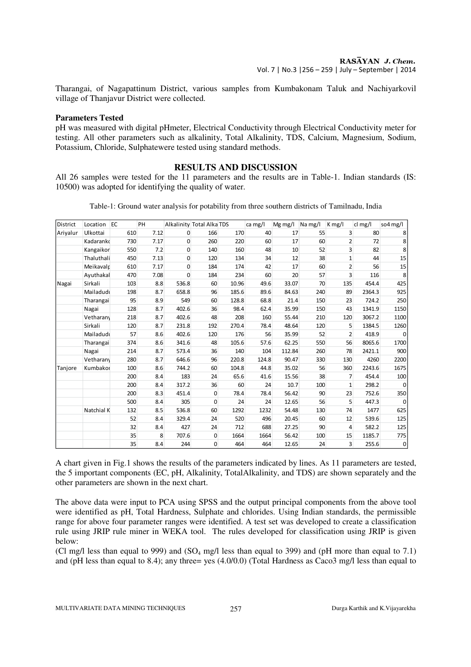Tharangai, of Nagapattinum District, various samples from Kumbakonam Taluk and Nachiyarkovil village of Thanjavur District were collected.

## **Parameters Tested**

pH was measured with digital pHmeter, Electrical Conductivity through Electrical Conductivity meter for testing. All other parameters such as alkalinity, Total Alkalinity, TDS, Calcium, Magnesium, Sodium, Potassium, Chloride, Sulphatewere tested using standard methods.

## **RESULTS AND DISCUSSION**

All 26 samples were tested for the 11 parameters and the results are in Table-1. Indian standards (IS: 10500) was adopted for identifying the quality of water.

Table-1: Ground water analysis for potability from three southern districts of Tamilnadu, India

| District | Location   | EC  | PH   |                | Alkalinity Total Alka TDS |       | ca mg/l | Mg mg/l | Na mg/l | $K$ mg/l       | cl mg/l | so4 mg/l    |
|----------|------------|-----|------|----------------|---------------------------|-------|---------|---------|---------|----------------|---------|-------------|
| Ariyalur | Ulkottai   | 610 | 7.12 | $\mathbf{0}$   | 166                       | 170   | 40      | 17      | 55      | $\overline{3}$ | 80      | 8           |
|          | Kadaranko  | 730 | 7.17 | $\overline{0}$ | 260                       | 220   | 60      | 17      | 60      | $\overline{2}$ | 72      | 8           |
|          | Kangaikor  | 550 | 7.2  | $\overline{0}$ | 140                       | 160   | 48      | 10      | 52      | 3              | 82      | 8           |
|          | Thaluthali | 450 | 7.13 | $\mathbf{0}$   | 120                       | 134   | 34      | 12      | 38      | $\mathbf{1}$   | 44      | 15          |
|          | Meikavalr  | 610 | 7.17 | $\mathbf{0}$   | 184                       | 174   | 42      | 17      | 60      | $\overline{2}$ | 56      | 15          |
|          | Ayuthakal  | 470 | 7.08 | $\mathbf{0}$   | 184                       | 234   | 60      | 20      | 57      | 3              | 116     | 8           |
| Nagai    | Sirkali    | 103 | 8.8  | 536.8          | 60                        | 10.96 | 49.6    | 33.07   | 70      | 135            | 454.4   | 425         |
|          | Mailadudi  | 198 | 8.7  | 658.8          | 96                        | 185.6 | 89.6    | 84.63   | 240     | 89             | 2364.3  | 925         |
|          | Tharangai  | 95  | 8.9  | 549            | 60                        | 128.8 | 68.8    | 21.4    | 150     | 23             | 724.2   | 250         |
|          | Nagai      | 128 | 8.7  | 402.6          | 36                        | 98.4  | 62.4    | 35.99   | 150     | 43             | 1341.9  | 1150        |
|          | Vetharany  | 218 | 8.7  | 402.6          | 48                        | 208   | 160     | 55.44   | 210     | 120            | 3067.2  | 1100        |
|          | Sirkali    | 120 | 8.7  | 231.8          | 192                       | 270.4 | 78.4    | 48.64   | 120     | 5              | 1384.5  | 1260        |
|          | Mailadudi  | 57  | 8.6  | 402.6          | 120                       | 176   | 56      | 35.99   | 52      | $\overline{2}$ | 418.9   | 0           |
|          | Tharangai  | 374 | 8.6  | 341.6          | 48                        | 105.6 | 57.6    | 62.25   | 550     | 56             | 8065.6  | 1700        |
|          | Nagai      | 214 | 8.7  | 573.4          | 36                        | 140   | 104     | 112.84  | 260     | 78             | 2421.1  | 900         |
|          | Vetharany  | 280 | 8.7  | 646.6          | 96                        | 220.8 | 124.8   | 90.47   | 330     | 130            | 4260    | 2200        |
| Tanjore  | Kumbakor   | 100 | 8.6  | 744.2          | 60                        | 104.8 | 44.8    | 35.02   | 56      | 360            | 2243.6  | 1675        |
|          |            | 200 | 8.4  | 183            | 24                        | 65.6  | 41.6    | 15.56   | 38      | 7              | 454.4   | 100         |
|          |            | 200 | 8.4  | 317.2          | 36                        | 60    | 24      | 10.7    | 100     | $\mathbf{1}$   | 298.2   | 0           |
|          |            | 200 | 8.3  | 451.4          | $\mathbf{0}$              | 78.4  | 78.4    | 56.42   | 90      | 23             | 752.6   | 350         |
|          |            | 500 | 8.4  | 305            | $\mathbf{0}$              | 24    | 24      | 12.65   | 56      | 5              | 447.3   | 0           |
|          | Natchial K | 132 | 8.5  | 536.8          | 60                        | 1292  | 1232    | 54.48   | 130     | 74             | 1477    | 625         |
|          |            | 52  | 8.4  | 329.4          | 24                        | 520   | 496     | 20.45   | 60      | 12             | 539.6   | 125         |
|          |            | 32  | 8.4  | 427            | 24                        | 712   | 688     | 27.25   | 90      | $\overline{4}$ | 582.2   | 125         |
|          |            | 35  | 8    | 707.6          | $\mathbf 0$               | 1664  | 1664    | 56.42   | 100     | 15             | 1185.7  | 775         |
|          |            | 35  | 8.4  | 244            | $\mathbf{0}$              | 464   | 464     | 12.65   | 24      | $\overline{3}$ | 255.6   | $\mathbf 0$ |

A chart given in Fig.1 shows the results of the parameters indicated by lines. As 11 parameters are tested, the 5 important components (EC, pH, Alkalinity, TotalAlkalinity, and TDS) are shown separately and the other parameters are shown in the next chart.

The above data were input to PCA using SPSS and the output principal components from the above tool were identified as pH, Total Hardness, Sulphate and chlorides. Using Indian standards, the permissible range for above four parameter ranges were identified. A test set was developed to create a classification rule using JRIP rule miner in WEKA tool. The rules developed for classification using JRIP is given below:

(Cl mg/l less than equal to 999) and (SO<sub>4</sub> mg/l less than equal to 399) and (pH more than equal to 7.1) and (pH less than equal to 8.4); any three= yes (4.0/0.0) (Total Hardness as Caco3 mg/l less than equal to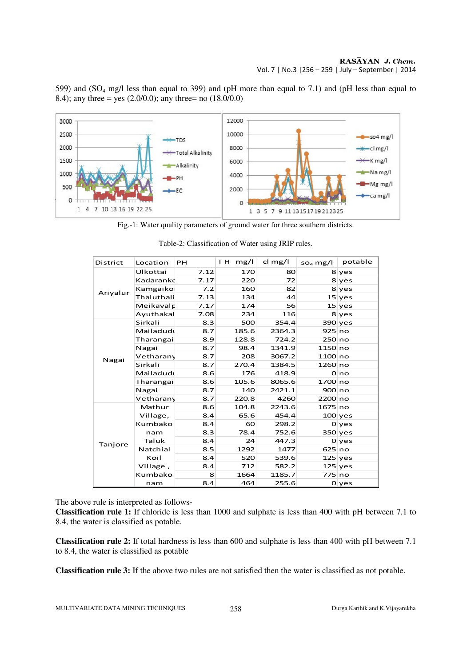## RASĀYAN J. Chem. Vol. 7 | No.3 |256 – 259 | July – September | 2014

12000 3000 2500 10000 so4 mg/l TDS 2000 8000 cl mg/l -Total Alkalinity 1500 K mg/l 6000 -Alkalinity Namg/l 1000 4000  $-PH$ Mg mg/l 500 2000  $-EC$ ca mg/l 0  $\Omega$ 

599) and (SO4 mg/l less than equal to 399) and (pH more than equal to 7.1) and (pH less than equal to 8.4); any three = yes  $(2.0/0.0)$ ; any three= no  $(18.0/0.0)$ 

Fig.-1: Water quality parameters of ground water for three southern districts.

1 3 5 7 9 11 13 15 17 19 21 23 25

| <b>District</b> | Location   | <b>PH</b> | T H<br>mg/l | $cl$ mg/l | $so4$ mg/l | potable   |
|-----------------|------------|-----------|-------------|-----------|------------|-----------|
|                 | Ulkottai   | 7.12      | 170         | 80        |            | 8 yes     |
|                 | Kadaranko  | 7.17      | 220         | 72        |            | 8 yes     |
| Ariyalur        | Kamgaiko   | 7.2       | 160         | 82        |            | 8 yes     |
|                 | Thaluthali | 7.13      | 134         | 44        |            | $15$ yes  |
|                 | Meikavalr  | 7.17      | 174         | 56        |            | $15$ yes  |
|                 | Ayuthakal  | 7.08      | 234         | 116       |            | 8 yes     |
|                 | Sirkali    | 8.3       | 500         | 354.4     |            | $390$ yes |
|                 | Mailadudu  | 8.7       | 185.6       | 2364.3    | 925 no     |           |
|                 | Tharangai  | 8.9       | 128.8       | 724.2     | 250 no     |           |
|                 | Nagai      | 8.7       | 98.4        | 1341.9    | 1150 no    |           |
| Nagai           | Vetharany  | 8.7       | 208         | 3067.2    | 1100 no    |           |
|                 | Sirkali    | 8.7       | 270.4       | 1384.5    | 1260 no    |           |
|                 | Mailadudu  | 8.6       | 176         | 418.9     |            | 0 no      |
|                 | Tharangai  | 8.6       | 105.6       | 8065.6    | 1700 no    |           |
|                 | Nagai      | 8.7       | 140         | 2421.1    | 900 no     |           |
|                 | Vetharany  | 8.7       | 220.8       | 4260      | 2200 no    |           |
|                 | Mathur     | 8.6       | 104.8       | 2243.6    | 1675 no    |           |
|                 | Village,   | 8.4       | 65.6        | 454.4     |            | $100$ yes |
|                 | Kumbako    | 8.4       | 60          | 298.2     |            | 0 yes     |
|                 | nam        | 8.3       | 78.4        | 752.6     |            | 350 yes   |
| Tanjore         | Taluk      | 8.4       | 24          | 447.3     |            | 0 ves     |
|                 | Natchial   | 8.5       | 1292        | 1477      | 625 no     |           |
|                 | Koil       | 8.4       | 520         | 539.6     |            | $125$ yes |
|                 | Village,   | 8.4       | 712         | 582.2     |            | $125$ yes |
|                 | Kumbako    | 8         | 1664        | 1185.7    | 775 no     |           |
|                 | nam        | 8.4       | 464         | 255.6     |            | $0$ yes   |

Table-2: Classification of Water using JRIP rules.

The above rule is interpreted as follows-

1 4 7 10 13 16 19 22 25

**Classification rule 1:** If chloride is less than 1000 and sulphate is less than 400 with pH between 7.1 to 8.4, the water is classified as potable.

**Classification rule 2:** If total hardness is less than 600 and sulphate is less than 400 with pH between 7.1 to 8.4, the water is classified as potable

**Classification rule 3:** If the above two rules are not satisfied then the water is classified as not potable.